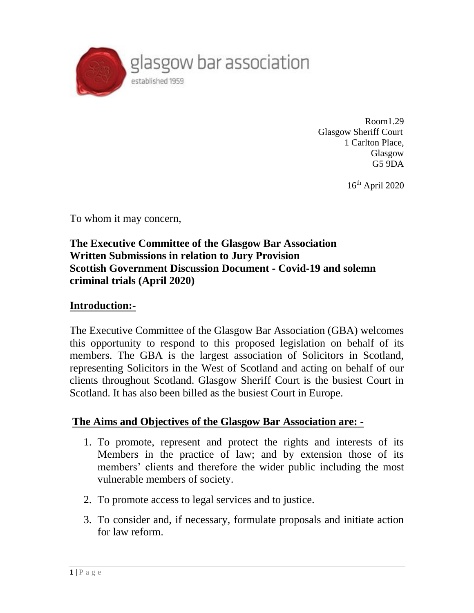

Room1.29 Glasgow Sheriff Court 1 Carlton Place, Glasgow G5 9DA

16 th April 2020

To whom it may concern,

#### **The Executive Committee of the Glasgow Bar Association Written Submissions in relation to Jury Provision Scottish Government Discussion Document - Covid-19 and solemn criminal trials (April 2020)**

#### **Introduction:-**

The Executive Committee of the Glasgow Bar Association (GBA) welcomes this opportunity to respond to this proposed legislation on behalf of its members. The GBA is the largest association of Solicitors in Scotland, representing Solicitors in the West of Scotland and acting on behalf of our clients throughout Scotland. Glasgow Sheriff Court is the busiest Court in Scotland. It has also been billed as the busiest Court in Europe.

#### **The Aims and Objectives of the Glasgow Bar Association are: -**

- 1. To promote, represent and protect the rights and interests of its Members in the practice of law; and by extension those of its members' clients and therefore the wider public including the most vulnerable members of society.
- 2. To promote access to legal services and to justice.
- 3. To consider and, if necessary, formulate proposals and initiate action for law reform.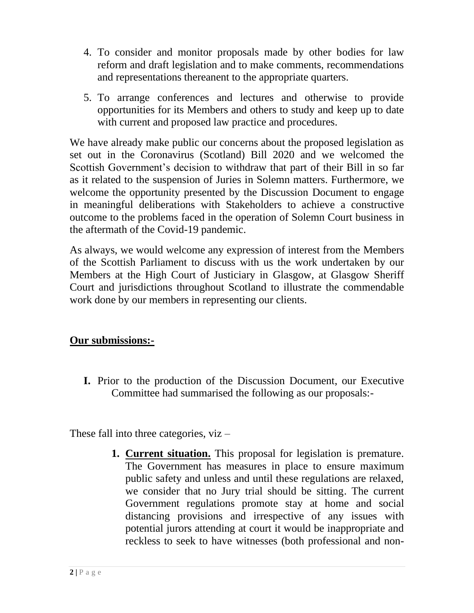- 4. To consider and monitor proposals made by other bodies for law reform and draft legislation and to make comments, recommendations and representations thereanent to the appropriate quarters.
- 5. To arrange conferences and lectures and otherwise to provide opportunities for its Members and others to study and keep up to date with current and proposed law practice and procedures.

We have already make public our concerns about the proposed legislation as set out in the Coronavirus (Scotland) Bill 2020 and we welcomed the Scottish Government's decision to withdraw that part of their Bill in so far as it related to the suspension of Juries in Solemn matters. Furthermore, we welcome the opportunity presented by the Discussion Document to engage in meaningful deliberations with Stakeholders to achieve a constructive outcome to the problems faced in the operation of Solemn Court business in the aftermath of the Covid-19 pandemic.

As always, we would welcome any expression of interest from the Members of the Scottish Parliament to discuss with us the work undertaken by our Members at the High Court of Justiciary in Glasgow, at Glasgow Sheriff Court and jurisdictions throughout Scotland to illustrate the commendable work done by our members in representing our clients.

#### **Our submissions:-**

**I.** Prior to the production of the Discussion Document, our Executive Committee had summarised the following as our proposals:-

These fall into three categories, viz –

**1. Current situation.** This proposal for legislation is premature. The Government has measures in place to ensure maximum public safety and unless and until these regulations are relaxed, we consider that no Jury trial should be sitting. The current Government regulations promote stay at home and social distancing provisions and irrespective of any issues with potential jurors attending at court it would be inappropriate and reckless to seek to have witnesses (both professional and non-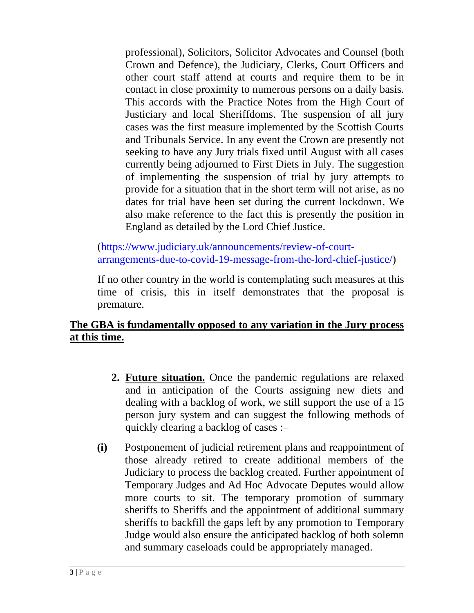professional), Solicitors, Solicitor Advocates and Counsel (both Crown and Defence), the Judiciary, Clerks, Court Officers and other court staff attend at courts and require them to be in contact in close proximity to numerous persons on a daily basis. This accords with the Practice Notes from the High Court of Justiciary and local Sheriffdoms. The suspension of all jury cases was the first measure implemented by the Scottish Courts and Tribunals Service. In any event the Crown are presently not seeking to have any Jury trials fixed until August with all cases currently being adjourned to First Diets in July. The suggestion of implementing the suspension of trial by jury attempts to provide for a situation that in the short term will not arise, as no dates for trial have been set during the current lockdown. We also make reference to the fact this is presently the position in England as detailed by the Lord Chief Justice.

[\(https://www.judiciary.uk/announcements/review-of-court](https://www.judiciary.uk/announcements/review-of-court-arrangements-due-to-covid-19-message-from-the-lord-chief-justice/)[arrangements-due-to-covid-19-message-from-the-lord-chief-justice/\)](https://www.judiciary.uk/announcements/review-of-court-arrangements-due-to-covid-19-message-from-the-lord-chief-justice/)

If no other country in the world is contemplating such measures at this time of crisis, this in itself demonstrates that the proposal is premature.

# **The GBA is fundamentally opposed to any variation in the Jury process at this time.**

- **2. Future situation.** Once the pandemic regulations are relaxed and in anticipation of the Courts assigning new diets and dealing with a backlog of work, we still support the use of a 15 person jury system and can suggest the following methods of quickly clearing a backlog of cases :–
- **(i)** Postponement of judicial retirement plans and reappointment of those already retired to create additional members of the Judiciary to process the backlog created. Further appointment of Temporary Judges and Ad Hoc Advocate Deputes would allow more courts to sit. The temporary promotion of summary sheriffs to Sheriffs and the appointment of additional summary sheriffs to backfill the gaps left by any promotion to Temporary Judge would also ensure the anticipated backlog of both solemn and summary caseloads could be appropriately managed.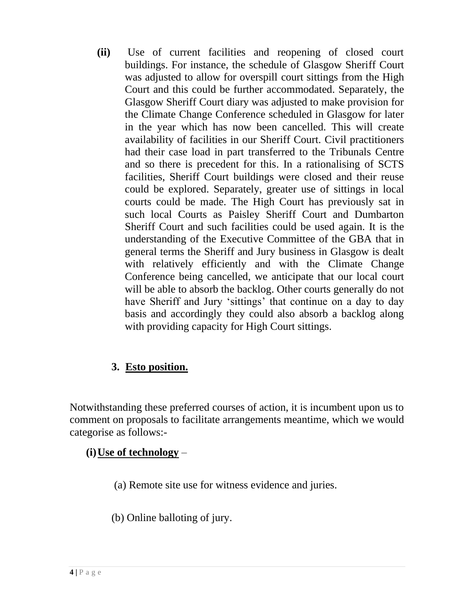**(ii)** Use of current facilities and reopening of closed court buildings. For instance, the schedule of Glasgow Sheriff Court was adjusted to allow for overspill court sittings from the High Court and this could be further accommodated. Separately, the Glasgow Sheriff Court diary was adjusted to make provision for the Climate Change Conference scheduled in Glasgow for later in the year which has now been cancelled. This will create availability of facilities in our Sheriff Court. Civil practitioners had their case load in part transferred to the Tribunals Centre and so there is precedent for this. In a rationalising of SCTS facilities, Sheriff Court buildings were closed and their reuse could be explored. Separately, greater use of sittings in local courts could be made. The High Court has previously sat in such local Courts as Paisley Sheriff Court and Dumbarton Sheriff Court and such facilities could be used again. It is the understanding of the Executive Committee of the GBA that in general terms the Sheriff and Jury business in Glasgow is dealt with relatively efficiently and with the Climate Change Conference being cancelled, we anticipate that our local court will be able to absorb the backlog. Other courts generally do not have Sheriff and Jury 'sittings' that continue on a day to day basis and accordingly they could also absorb a backlog along with providing capacity for High Court sittings.

# **3. Esto position.**

Notwithstanding these preferred courses of action, it is incumbent upon us to comment on proposals to facilitate arrangements meantime, which we would categorise as follows:-

# **(i)Use of technology** –

- (a) Remote site use for witness evidence and juries.
- (b) Online balloting of jury.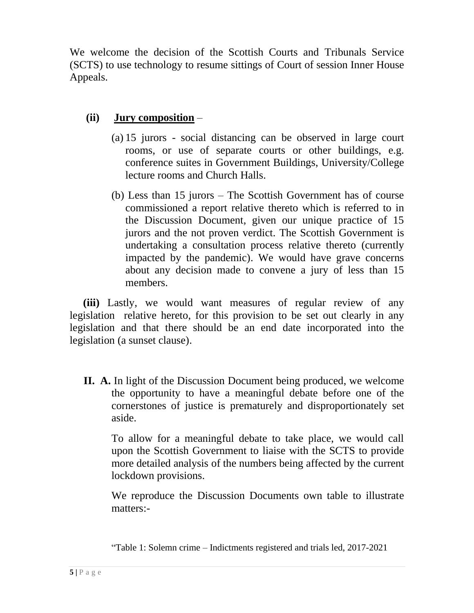We welcome the decision of the Scottish Courts and Tribunals Service (SCTS) to use technology to resume sittings of Court of session Inner House Appeals.

# **(ii) Jury composition** –

- (a) 15 jurors social distancing can be observed in large court rooms, or use of separate courts or other buildings, e.g. conference suites in Government Buildings, University/College lecture rooms and Church Halls.
- (b) Less than 15 jurors The Scottish Government has of course commissioned a report relative thereto which is referred to in the Discussion Document, given our unique practice of 15 jurors and the not proven verdict. The Scottish Government is undertaking a consultation process relative thereto (currently impacted by the pandemic). We would have grave concerns about any decision made to convene a jury of less than 15 members.

 **(iii)** Lastly, we would want measures of regular review of any legislation relative hereto, for this provision to be set out clearly in any legislation and that there should be an end date incorporated into the legislation (a sunset clause).

**II. A.** In light of the Discussion Document being produced, we welcome the opportunity to have a meaningful debate before one of the cornerstones of justice is prematurely and disproportionately set aside.

To allow for a meaningful debate to take place, we would call upon the Scottish Government to liaise with the SCTS to provide more detailed analysis of the numbers being affected by the current lockdown provisions.

We reproduce the Discussion Documents own table to illustrate matters:-

<sup>&</sup>quot;Table 1: Solemn crime – Indictments registered and trials led, 2017-2021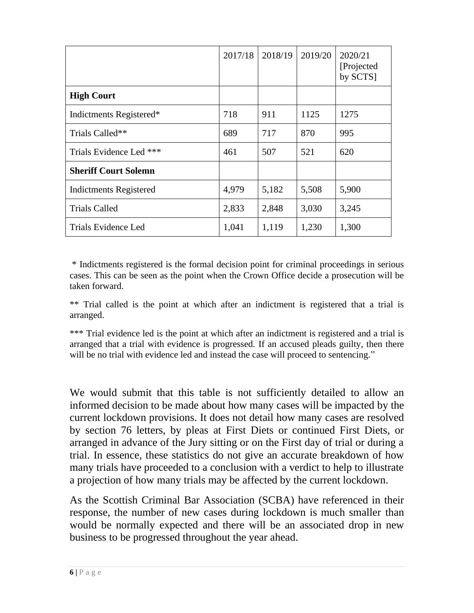|                               | 2017/18 | 2018/19 | 2019/20 | 2020/21<br>[Projected]<br>by SCTS] |
|-------------------------------|---------|---------|---------|------------------------------------|
| <b>High Court</b>             |         |         |         |                                    |
| Indictments Registered*       | 718     | 911     | 1125    | 1275                               |
| Trials Called**               | 689     | 717     | 870     | 995                                |
| Trials Evidence Led ***       | 461     | 507     | 521     | 620                                |
| <b>Sheriff Court Solemn</b>   |         |         |         |                                    |
| <b>Indictments Registered</b> | 4,979   | 5,182   | 5,508   | 5,900                              |
| <b>Trials Called</b>          | 2,833   | 2,848   | 3,030   | 3,245                              |
| Trials Evidence Led           | 1,041   | 1,119   | 1,230   | 1,300                              |

\* Indictments registered is the formal decision point for criminal proceedings in serious cases. This can be seen as the point when the Crown Office decide a prosecution will be taken forward.

\*\* Trial called is the point at which after an indictment is registered that a trial is arranged.

\*\*\* Trial evidence led is the point at which after an indictment is registered and a trial is arranged that a trial with evidence is progressed. If an accused pleads guilty, then there will be no trial with evidence led and instead the case will proceed to sentencing."

We would submit that this table is not sufficiently detailed to allow an informed decision to be made about how many cases will be impacted by the current lockdown provisions. It does not detail how many cases are resolved by section 76 letters, by pleas at First Diets or continued First Diets, or arranged in advance of the Jury sitting or on the First day of trial or during a trial. In essence, these statistics do not give an accurate breakdown of how many trials have proceeded to a conclusion with a verdict to help to illustrate a projection of how many trials may be affected by the current lockdown.

As the Scottish Criminal Bar Association (SCBA) have referenced in their response, the number of new cases during lockdown is much smaller than would be normally expected and there will be an associated drop in new business to be progressed throughout the year ahead.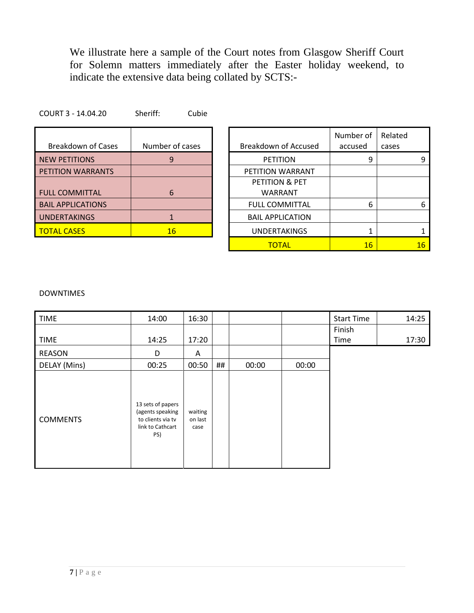We illustrate here a sample of the Court notes from Glasgow Sheriff Court for Solemn matters immediately after the Easter holiday weekend, to indicate the extensive data being collated by SCTS:-

| Number of cases | <b>Breakdown of Accused</b> |
|-----------------|-----------------------------|
| 9               | <b>PETITION</b>             |
|                 | PETITION WARRANT            |
|                 | PETITION & PET              |
| 6               | WARRANT                     |
|                 | <b>FULL COMMITTAL</b>       |
|                 | <b>BAIL APPLICATION</b>     |
| 16              | <b>UNDERTAKINGS</b>         |
|                 |                             |

COURT 3 - 14.04.20 Sheriff: Cubie

| <b>Breakdown of Cases</b> | Number of cases | Breakdown of Accused    | Number of<br>accused | Related<br>cases |                 |
|---------------------------|-----------------|-------------------------|----------------------|------------------|-----------------|
| <b>NEW PETITIONS</b>      | 9               | <b>PETITION</b>         | q                    |                  | 9               |
| PETITION WARRANTS         |                 | PETITION WARRANT        |                      |                  |                 |
|                           |                 | PETITION & PET          |                      |                  |                 |
| <b>FULL COMMITTAL</b>     | 6               | <b>WARRANT</b>          |                      |                  |                 |
| <b>BAIL APPLICATIONS</b>  |                 | <b>FULL COMMITTAL</b>   | 6                    |                  | 6               |
| <b>UNDERTAKINGS</b>       |                 | <b>BAIL APPLICATION</b> |                      |                  |                 |
| TOTAL CASES               | 16              | <b>UNDERTAKINGS</b>     |                      |                  |                 |
|                           |                 | <b>TOTAL</b>            | 16                   |                  | $16\phantom{.}$ |

#### DOWNTIMES

| <b>TIME</b>     | 14:00                                                                                 | 16:30                      |    |       |       | <b>Start Time</b> | 14:25 |
|-----------------|---------------------------------------------------------------------------------------|----------------------------|----|-------|-------|-------------------|-------|
|                 |                                                                                       |                            |    |       |       | Finish            |       |
| <b>TIME</b>     | 14:25                                                                                 | 17:20                      |    |       |       | Time              | 17:30 |
| REASON          | D                                                                                     | A                          |    |       |       |                   |       |
| DELAY (Mins)    | 00:25                                                                                 | 00:50                      | ## | 00:00 | 00:00 |                   |       |
| <b>COMMENTS</b> | 13 sets of papers<br>(agents speaking<br>to clients via tv<br>link to Cathcart<br>PS) | waiting<br>on last<br>case |    |       |       |                   |       |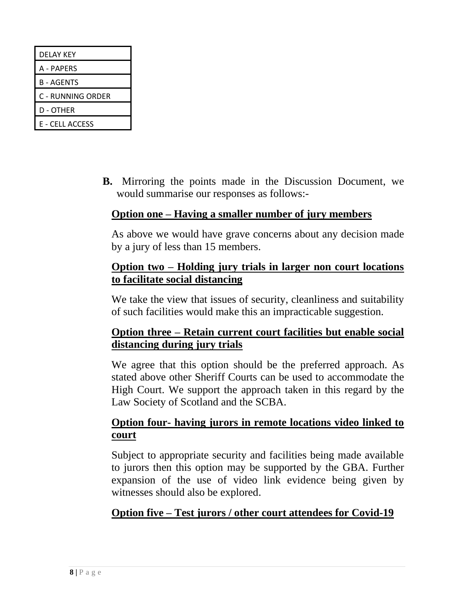| DELAY KEY         |
|-------------------|
| A - PAPERS        |
| <b>B-AGENTS</b>   |
| C - RUNNING ORDER |
| D - OTHER         |
| E - CELL ACCESS   |

**B.** Mirroring the points made in the Discussion Document, we would summarise our responses as follows:-

#### **Option one – Having a smaller number of jury members**

As above we would have grave concerns about any decision made by a jury of less than 15 members.

#### **Option two – Holding jury trials in larger non court locations to facilitate social distancing**

We take the view that issues of security, cleanliness and suitability of such facilities would make this an impracticable suggestion.

#### **Option three – Retain current court facilities but enable social distancing during jury trials**

We agree that this option should be the preferred approach. As stated above other Sheriff Courts can be used to accommodate the High Court. We support the approach taken in this regard by the Law Society of Scotland and the SCBA.

#### **Option four- having jurors in remote locations video linked to court**

Subject to appropriate security and facilities being made available to jurors then this option may be supported by the GBA. Further expansion of the use of video link evidence being given by witnesses should also be explored.

#### **Option five – Test jurors / other court attendees for Covid-19**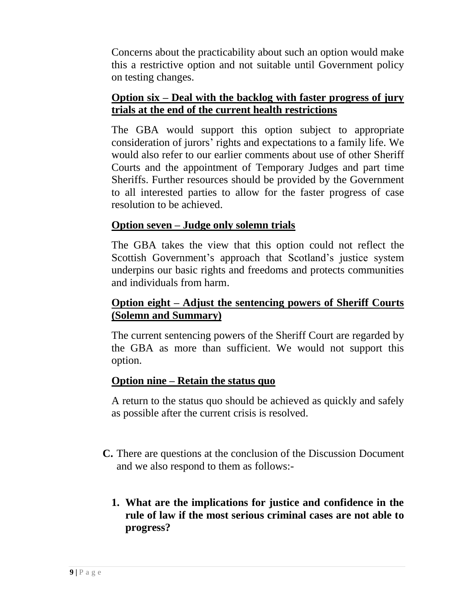Concerns about the practicability about such an option would make this a restrictive option and not suitable until Government policy on testing changes.

## **Option six – Deal with the backlog with faster progress of jury trials at the end of the current health restrictions**

The GBA would support this option subject to appropriate consideration of jurors' rights and expectations to a family life. We would also refer to our earlier comments about use of other Sheriff Courts and the appointment of Temporary Judges and part time Sheriffs. Further resources should be provided by the Government to all interested parties to allow for the faster progress of case resolution to be achieved.

# **Option seven – Judge only solemn trials**

The GBA takes the view that this option could not reflect the Scottish Government's approach that Scotland's justice system underpins our basic rights and freedoms and protects communities and individuals from harm.

#### **Option eight – Adjust the sentencing powers of Sheriff Courts (Solemn and Summary)**

The current sentencing powers of the Sheriff Court are regarded by the GBA as more than sufficient. We would not support this option.

#### **Option nine – Retain the status quo**

A return to the status quo should be achieved as quickly and safely as possible after the current crisis is resolved.

- **C.** There are questions at the conclusion of the Discussion Document and we also respond to them as follows:-
	- **1. What are the implications for justice and confidence in the rule of law if the most serious criminal cases are not able to progress?**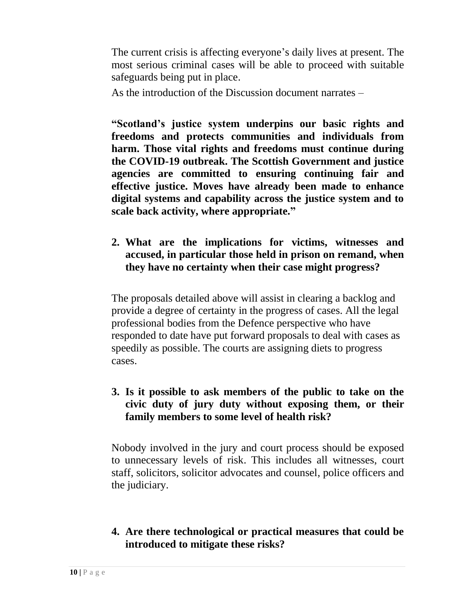The current crisis is affecting everyone's daily lives at present. The most serious criminal cases will be able to proceed with suitable safeguards being put in place.

As the introduction of the Discussion document narrates –

**"Scotland's justice system underpins our basic rights and freedoms and protects communities and individuals from harm. Those vital rights and freedoms must continue during the COVID-19 outbreak. The Scottish Government and justice agencies are committed to ensuring continuing fair and effective justice. Moves have already been made to enhance digital systems and capability across the justice system and to scale back activity, where appropriate."**

# **2. What are the implications for victims, witnesses and accused, in particular those held in prison on remand, when they have no certainty when their case might progress?**

The proposals detailed above will assist in clearing a backlog and provide a degree of certainty in the progress of cases. All the legal professional bodies from the Defence perspective who have responded to date have put forward proposals to deal with cases as speedily as possible. The courts are assigning diets to progress cases.

#### **3. Is it possible to ask members of the public to take on the civic duty of jury duty without exposing them, or their family members to some level of health risk?**

Nobody involved in the jury and court process should be exposed to unnecessary levels of risk. This includes all witnesses, court staff, solicitors, solicitor advocates and counsel, police officers and the judiciary.

# **4. Are there technological or practical measures that could be introduced to mitigate these risks?**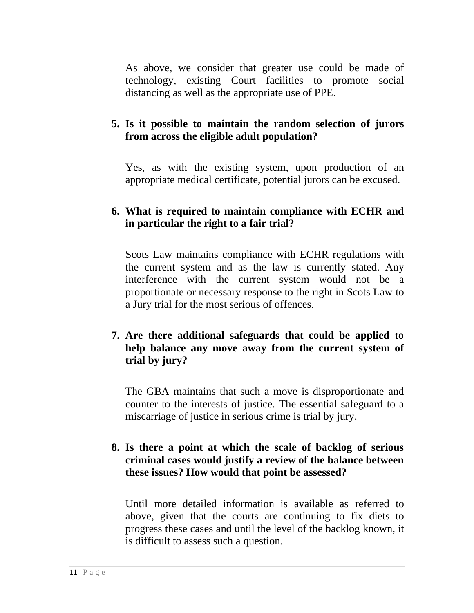As above, we consider that greater use could be made of technology, existing Court facilities to promote social distancing as well as the appropriate use of PPE.

# **5. Is it possible to maintain the random selection of jurors from across the eligible adult population?**

Yes, as with the existing system, upon production of an appropriate medical certificate, potential jurors can be excused.

#### **6. What is required to maintain compliance with ECHR and in particular the right to a fair trial?**

Scots Law maintains compliance with ECHR regulations with the current system and as the law is currently stated. Any interference with the current system would not be a proportionate or necessary response to the right in Scots Law to a Jury trial for the most serious of offences.

#### **7. Are there additional safeguards that could be applied to help balance any move away from the current system of trial by jury?**

The GBA maintains that such a move is disproportionate and counter to the interests of justice. The essential safeguard to a miscarriage of justice in serious crime is trial by jury.

#### **8. Is there a point at which the scale of backlog of serious criminal cases would justify a review of the balance between these issues? How would that point be assessed?**

Until more detailed information is available as referred to above, given that the courts are continuing to fix diets to progress these cases and until the level of the backlog known, it is difficult to assess such a question.